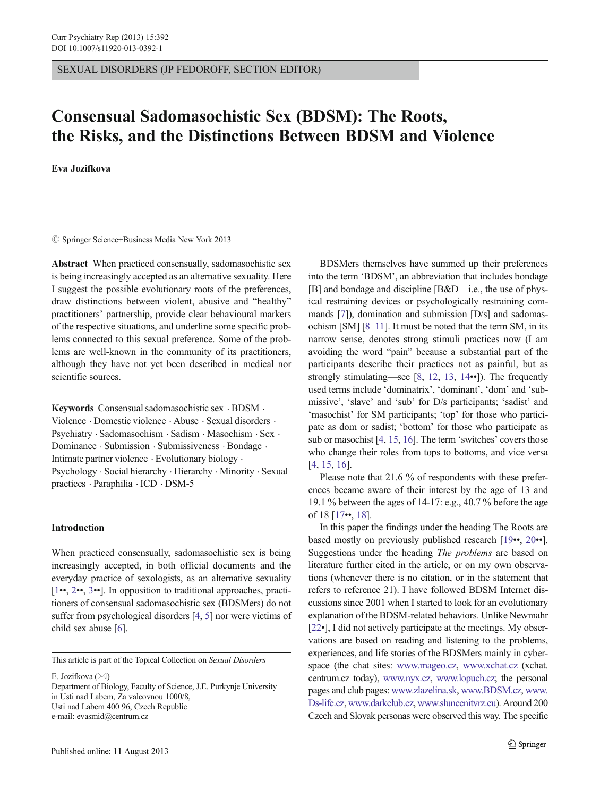SEXUAL DISORDERS (JP FEDOROFF, SECTION EDITOR)

# Consensual Sadomasochistic Sex (BDSM): The Roots, the Risks, and the Distinctions Between BDSM and Violence

Eva Jozifkova

© Springer Science+Business Media New York 2013

Abstract When practiced consensually, sadomasochistic sex is being increasingly accepted as an alternative sexuality. Here I suggest the possible evolutionary roots of the preferences, draw distinctions between violent, abusive and "healthy" practitioners' partnership, provide clear behavioural markers of the respective situations, and underline some specific problems connected to this sexual preference. Some of the problems are well-known in the community of its practitioners, although they have not yet been described in medical nor scientific sources.

Keywords Consensual sadomasochistic sex · BDSM · Violence . Domestic violence . Abuse . Sexual disorders . Psychiatry . Sadomasochism . Sadism . Masochism . Sex . Dominance . Submission . Submissiveness . Bondage . Intimate partner violence . Evolutionary biology . Psychology . Social hierarchy . Hierarchy . Minority . Sexual practices . Paraphilia . ICD . DSM-5

## Introduction

When practiced consensually, sadomasochistic sex is being increasingly accepted, in both official documents and the everyday practice of sexologists, as an alternative sexuality [\[1](#page-5-0)••, [2](#page-6-0)••, [3](#page-6-0)••]. In opposition to traditional approaches, practitioners of consensual sadomasochistic sex (BDSMers) do not suffer from psychological disorders [[4,](#page-6-0) [5](#page-6-0)] nor were victims of child sex abuse [\[6](#page-6-0)].

This article is part of the Topical Collection on Sexual Disorders

E. Jozifkova  $(\boxtimes)$ 

Department of Biology, Faculty of Science, J.E. Purkynje University in Usti nad Labem, Za valcovnou 1000/8, Usti nad Labem 400 96, Czech Republic e-mail: evasmid@centrum.cz

BDSMers themselves have summed up their preferences into the term 'BDSM', an abbreviation that includes bondage [B] and bondage and discipline [B&D—i.e., the use of physical restraining devices or psychologically restraining commands [\[7](#page-6-0)]), domination and submission [D/s] and sadomasochism [SM] [[8](#page-6-0)–[11\]](#page-6-0). It must be noted that the term SM, in its narrow sense, denotes strong stimuli practices now (I am avoiding the word "pain" because a substantial part of the participants describe their practices not as painful, but as strongly stimulating—see [\[8,](#page-6-0) [12,](#page-6-0) [13,](#page-6-0) [14](#page-6-0)••]). The frequently used terms include 'dominatrix', 'dominant', 'dom' and 'submissive', 'slave' and 'sub' for D/s participants; 'sadist' and 'masochist' for SM participants; 'top' for those who participate as dom or sadist; 'bottom' for those who participate as sub or masochist [\[4,](#page-6-0) [15](#page-6-0), [16\]](#page-6-0). The term 'switches' covers those who change their roles from tops to bottoms, and vice versa [\[4](#page-6-0), [15](#page-6-0), [16\]](#page-6-0).

Please note that 21.6 % of respondents with these preferences became aware of their interest by the age of 13 and 19.1 % between the ages of 14-17: e.g., 40.7 % before the age of 18 [\[17](#page-6-0)••, [18\]](#page-6-0).

In this paper the findings under the heading The Roots are based mostly on previously published research [[19](#page-6-0)••, [20](#page-6-0)••]. Suggestions under the heading The problems are based on literature further cited in the article, or on my own observations (whenever there is no citation, or in the statement that refers to reference 21). I have followed BDSM Internet discussions since 2001 when I started to look for an evolutionary explanation of the BDSM-related behaviors. Unlike Newmahr [\[22](#page-6-0)•], I did not actively participate at the meetings. My observations are based on reading and listening to the problems, experiences, and life stories of the BDSMers mainly in cyberspace (the chat sites: [www.mageo.cz](http://www.mageo.cz), [www.xchat.cz](http://www.xchat.cz) (xchat. centrum.cz today), [www.nyx.cz](http://www.nyx.cz), [www.lopuch.cz](http://www.lopuch.cz); the personal pages and club pages: [www.zlazelina.sk,](http://www.zlazelina.sk) [www.BDSM.cz](http://www.bdsm.cz), [www.](http://www.ds-life.cz) [Ds-life.cz,](http://www.ds-life.cz) [www.darkclub.cz,](http://www.darkclub.cz) [www.slunecnitvrz.eu](http://www.slunecnitvrz.eu)). Around 200 Czech and Slovak personas were observed this way. The specific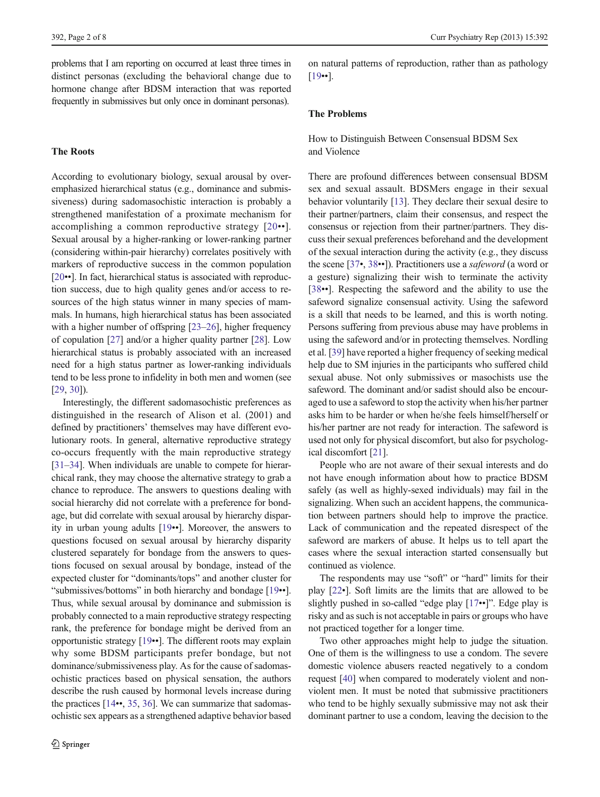problems that I am reporting on occurred at least three times in distinct personas (excluding the behavioral change due to hormone change after BDSM interaction that was reported frequently in submissives but only once in dominant personas).

## The Roots

According to evolutionary biology, sexual arousal by overemphasized hierarchical status (e.g., dominance and submissiveness) during sadomasochistic interaction is probably a strengthened manifestation of a proximate mechanism for accomplishing a common reproductive strategy [\[20](#page-6-0)••]. Sexual arousal by a higher-ranking or lower-ranking partner (considering within-pair hierarchy) correlates positively with markers of reproductive success in the common population [\[20](#page-6-0)••]. In fact, hierarchical status is associated with reproduction success, due to high quality genes and/or access to resources of the high status winner in many species of mammals. In humans, high hierarchical status has been associated with a higher number of offspring [\[23](#page-6-0)–[26\]](#page-6-0), higher frequency of copulation [\[27](#page-6-0)] and/or a higher quality partner [[28](#page-6-0)]. Low hierarchical status is probably associated with an increased need for a high status partner as lower-ranking individuals tend to be less prone to infidelity in both men and women (see [\[29,](#page-6-0) [30\]](#page-6-0)).

Interestingly, the different sadomasochistic preferences as distinguished in the research of Alison et al. (2001) and defined by practitioners' themselves may have different evolutionary roots. In general, alternative reproductive strategy co-occurs frequently with the main reproductive strategy [\[31](#page-6-0)–[34\]](#page-6-0). When individuals are unable to compete for hierarchical rank, they may choose the alternative strategy to grab a chance to reproduce. The answers to questions dealing with social hierarchy did not correlate with a preference for bondage, but did correlate with sexual arousal by hierarchy disparity in urban young adults [[19](#page-6-0)••]. Moreover, the answers to questions focused on sexual arousal by hierarchy disparity clustered separately for bondage from the answers to questions focused on sexual arousal by bondage, instead of the expected cluster for "dominants/tops" and another cluster for "submissives/bottoms" in both hierarchy and bondage [\[19](#page-6-0)••]. Thus, while sexual arousal by dominance and submission is probably connected to a main reproductive strategy respecting rank, the preference for bondage might be derived from an opportunistic strategy [\[19](#page-6-0)••]. The different roots may explain why some BDSM participants prefer bondage, but not dominance/submissiveness play. As for the cause of sadomasochistic practices based on physical sensation, the authors describe the rush caused by hormonal levels increase during the practices [\[14](#page-6-0)••, [35](#page-6-0), [36](#page-6-0)]. We can summarize that sadomasochistic sex appears as a strengthened adaptive behavior based on natural patterns of reproduction, rather than as pathology [\[19](#page-6-0)••].

## The Problems

How to Distinguish Between Consensual BDSM Sex and Violence

There are profound differences between consensual BDSM sex and sexual assault. BDSMers engage in their sexual behavior voluntarily [\[13\]](#page-6-0). They declare their sexual desire to their partner/partners, claim their consensus, and respect the consensus or rejection from their partner/partners. They discuss their sexual preferences beforehand and the development of the sexual interaction during the activity (e.g., they discuss the scene [\[37](#page-6-0)•, [38](#page-6-0)••]). Practitioners use a safeword (a word or a gesture) signalizing their wish to terminate the activity [\[38](#page-6-0)••]. Respecting the safeword and the ability to use the safeword signalize consensual activity. Using the safeword is a skill that needs to be learned, and this is worth noting. Persons suffering from previous abuse may have problems in using the safeword and/or in protecting themselves. Nordling et al. [\[39](#page-6-0)] have reported a higher frequency of seeking medical help due to SM injuries in the participants who suffered child sexual abuse. Not only submissives or masochists use the safeword. The dominant and/or sadist should also be encouraged to use a safeword to stop the activity when his/her partner asks him to be harder or when he/she feels himself/herself or his/her partner are not ready for interaction. The safeword is used not only for physical discomfort, but also for psychological discomfort [\[21\]](#page-6-0).

People who are not aware of their sexual interests and do not have enough information about how to practice BDSM safely (as well as highly-sexed individuals) may fail in the signalizing. When such an accident happens, the communication between partners should help to improve the practice. Lack of communication and the repeated disrespect of the safeword are markers of abuse. It helps us to tell apart the cases where the sexual interaction started consensually but continued as violence.

The respondents may use "soft" or "hard" limits for their play [[22](#page-6-0)•]. Soft limits are the limits that are allowed to be slightly pushed in so-called "edge play [[17](#page-6-0)••]". Edge play is risky and as such is not acceptable in pairs or groups who have not practiced together for a longer time.

Two other approaches might help to judge the situation. One of them is the willingness to use a condom. The severe domestic violence abusers reacted negatively to a condom request [\[40](#page-6-0)] when compared to moderately violent and nonviolent men. It must be noted that submissive practitioners who tend to be highly sexually submissive may not ask their dominant partner to use a condom, leaving the decision to the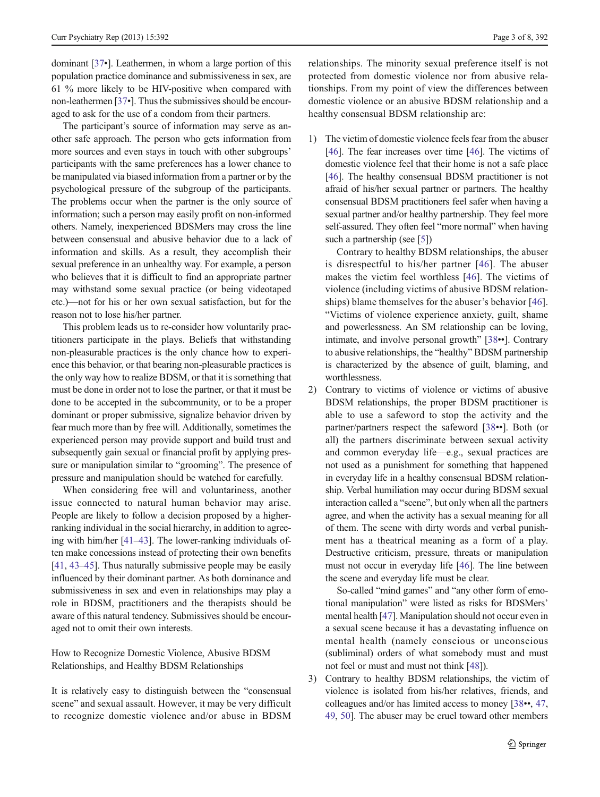dominant [[37](#page-6-0)•]. Leathermen, in whom a large portion of this population practice dominance and submissiveness in sex, are 61 % more likely to be HIV-positive when compared with non-leathermen [[37](#page-6-0)•]. Thus the submissives should be encour-

The participant's source of information may serve as another safe approach. The person who gets information from more sources and even stays in touch with other subgroups' participants with the same preferences has a lower chance to be manipulated via biased information from a partner or by the psychological pressure of the subgroup of the participants. The problems occur when the partner is the only source of information; such a person may easily profit on non-informed others. Namely, inexperienced BDSMers may cross the line between consensual and abusive behavior due to a lack of information and skills. As a result, they accomplish their sexual preference in an unhealthy way. For example, a person who believes that it is difficult to find an appropriate partner may withstand some sexual practice (or being videotaped etc.)—not for his or her own sexual satisfaction, but for the reason not to lose his/her partner.

aged to ask for the use of a condom from their partners.

This problem leads us to re-consider how voluntarily practitioners participate in the plays. Beliefs that withstanding non-pleasurable practices is the only chance how to experience this behavior, or that bearing non-pleasurable practices is the only way how to realize BDSM, or that it is something that must be done in order not to lose the partner, or that it must be done to be accepted in the subcommunity, or to be a proper dominant or proper submissive, signalize behavior driven by fear much more than by free will. Additionally, sometimes the experienced person may provide support and build trust and subsequently gain sexual or financial profit by applying pressure or manipulation similar to "grooming". The presence of pressure and manipulation should be watched for carefully.

When considering free will and voluntariness, another issue connected to natural human behavior may arise. People are likely to follow a decision proposed by a higherranking individual in the social hierarchy, in addition to agreeing with him/her [\[41](#page-6-0)–[43](#page-6-0)]. The lower-ranking individuals often make concessions instead of protecting their own benefits [\[41,](#page-6-0) [43](#page-6-0)–[45\]](#page-7-0). Thus naturally submissive people may be easily influenced by their dominant partner. As both dominance and submissiveness in sex and even in relationships may play a role in BDSM, practitioners and the therapists should be aware of this natural tendency. Submissives should be encouraged not to omit their own interests.

How to Recognize Domestic Violence, Abusive BDSM Relationships, and Healthy BDSM Relationships

It is relatively easy to distinguish between the "consensual scene" and sexual assault. However, it may be very difficult to recognize domestic violence and/or abuse in BDSM relationships. The minority sexual preference itself is not protected from domestic violence nor from abusive relationships. From my point of view the differences between domestic violence or an abusive BDSM relationship and a healthy consensual BDSM relationship are:

1) The victim of domestic violence feels fear from the abuser [\[46\]](#page-7-0). The fear increases over time [\[46\]](#page-7-0). The victims of domestic violence feel that their home is not a safe place [\[46\]](#page-7-0). The healthy consensual BDSM practitioner is not afraid of his/her sexual partner or partners. The healthy consensual BDSM practitioners feel safer when having a sexual partner and/or healthy partnership. They feel more self-assured. They often feel "more normal" when having such a partnership (see [[5\]](#page-6-0))

Contrary to healthy BDSM relationships, the abuser is disrespectful to his/her partner [[46](#page-7-0)]. The abuser makes the victim feel worthless [[46](#page-7-0)]. The victims of violence (including victims of abusive BDSM relationships) blame themselves for the abuser's behavior [\[46](#page-7-0)]. "Victims of violence experience anxiety, guilt, shame and powerlessness. An SM relationship can be loving, intimate, and involve personal growth" [\[38](#page-6-0)••]. Contrary to abusive relationships, the "healthy" BDSM partnership is characterized by the absence of guilt, blaming, and worthlessness.

2) Contrary to victims of violence or victims of abusive BDSM relationships, the proper BDSM practitioner is able to use a safeword to stop the activity and the partner/partners respect the safeword [\[38](#page-6-0)••]. Both (or all) the partners discriminate between sexual activity and common everyday life—e.g., sexual practices are not used as a punishment for something that happened in everyday life in a healthy consensual BDSM relationship. Verbal humiliation may occur during BDSM sexual interaction called a "scene", but only when all the partners agree, and when the activity has a sexual meaning for all of them. The scene with dirty words and verbal punishment has a theatrical meaning as a form of a play. Destructive criticism, pressure, threats or manipulation must not occur in everyday life [\[46](#page-7-0)]. The line between the scene and everyday life must be clear.

So-called "mind games" and "any other form of emotional manipulation" were listed as risks for BDSMers' mental health [[47\]](#page-7-0). Manipulation should not occur even in a sexual scene because it has a devastating influence on mental health (namely conscious or unconscious (subliminal) orders of what somebody must and must not feel or must and must not think [\[48](#page-7-0)]).

3) Contrary to healthy BDSM relationships, the victim of violence is isolated from his/her relatives, friends, and colleagues and/or has limited access to money [\[38](#page-6-0)••, [47,](#page-7-0) [49,](#page-7-0) [50\]](#page-7-0). The abuser may be cruel toward other members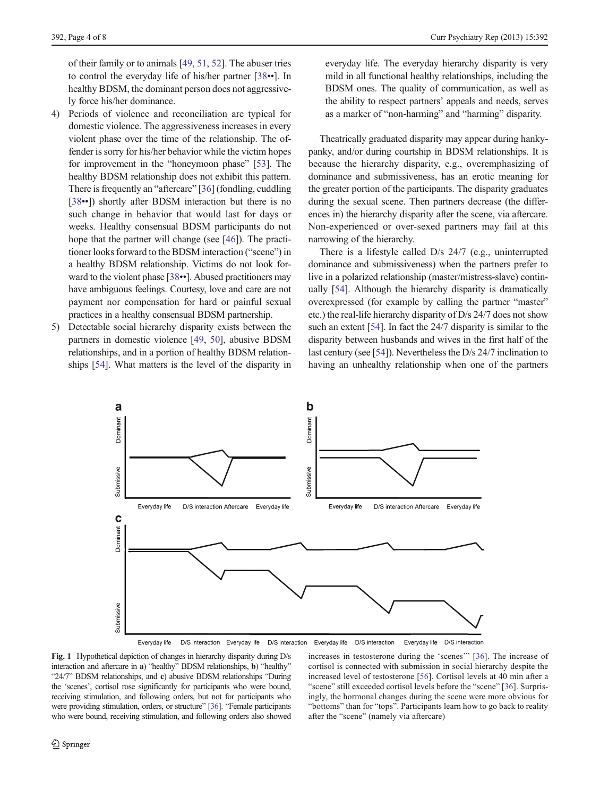<span id="page-3-0"></span>of their family or to animals [\[49,](#page-7-0) [51](#page-7-0), [52\]](#page-7-0). The abuser tries to control the everyday life of his/her partner [\[38](#page-6-0)••]. In healthy BDSM, the dominant person does not aggressively force his/her dominance.

- 4) Periods of violence and reconciliation are typical for domestic violence. The aggressiveness increases in every violent phase over the time of the relationship. The offender is sorry for his/her behavior while the victim hopes for improvement in the "honeymoon phase" [[53](#page-7-0)]. The healthy BDSM relationship does not exhibit this pattern. There is frequently an "aftercare" [\[36\]](#page-6-0) (fondling, cuddling [\[38](#page-6-0)••]) shortly after BDSM interaction but there is no such change in behavior that would last for days or weeks. Healthy consensual BDSM participants do not hope that the partner will change (see [\[46\]](#page-7-0)). The practitioner looks forward to the BDSM interaction ("scene") in a healthy BDSM relationship. Victims do not look forward to the violent phase [\[38](#page-6-0)••]. Abused practitioners may have ambiguous feelings. Courtesy, love and care are not payment nor compensation for hard or painful sexual practices in a healthy consensual BDSM partnership.
- 5) Detectable social hierarchy disparity exists between the partners in domestic violence [[49](#page-7-0), [50](#page-7-0)], abusive BDSM relationships, and in a portion of healthy BDSM relationships [\[54](#page-7-0)]. What matters is the level of the disparity in

everyday life. The everyday hierarchy disparity is very mild in all functional healthy relationships, including the BDSM ones. The quality of communication, as well as the ability to respect partners' appeals and needs, serves as a marker of "non-harming" and "harming" disparity.

Theatrically graduated disparity may appear during hankypanky, and/or during courtship in BDSM relationships. It is because the hierarchy disparity, e.g., overemphasizing of dominance and submissiveness, has an erotic meaning for the greater portion of the participants. The disparity graduates during the sexual scene. Then partners decrease (the differences in) the hierarchy disparity after the scene, via aftercare. Non-experienced or over-sexed partners may fail at this narrowing of the hierarchy.

There is a lifestyle called D/s 24/7 (e.g., uninterrupted dominance and submissiveness) when the partners prefer to live in a polarized relationship (master/mistress-slave) continually [\[54](#page-7-0)]. Although the hierarchy disparity is dramatically overexpressed (for example by calling the partner "master" etc.) the real-life hierarchy disparity of D/s 24/7 does not show such an extent [[54\]](#page-7-0). In fact the 24/7 disparity is similar to the disparity between husbands and wives in the first half of the last century (see [[54\]](#page-7-0)). Nevertheless the D/s 24/7 inclination to having an unhealthy relationship when one of the partners



Everyday life D/S interaction Everyday life D/S interaction Everyday life D/S interaction Everyday life D/S interaction

Fig. 1 Hypothetical depiction of changes in hierarchy disparity during D/s interaction and aftercare in a) "healthy" BDSM relationships, b) "healthy" "24/7" BDSM relationships, and c) abusive BDSM relationships "During the 'scenes', cortisol rose significantly for participants who were bound, receiving stimulation, and following orders, but not for participants who were providing stimulation, orders, or structure" [\[36](#page-6-0)]. "Female participants who were bound, receiving stimulation, and following orders also showed increases in testosterone during the 'scenes'" [\[36](#page-6-0)]. The increase of cortisol is connected with submission in social hierarchy despite the increased level of testosterone [[56\]](#page-7-0). Cortisol levels at 40 min after a "scene" still exceeded cortisol levels before the "scene" [[36\]](#page-6-0). Surprisingly, the hormonal changes during the scene were more obvious for "bottoms" than for "tops". Participants learn how to go back to reality after the "scene" (namely via aftercare)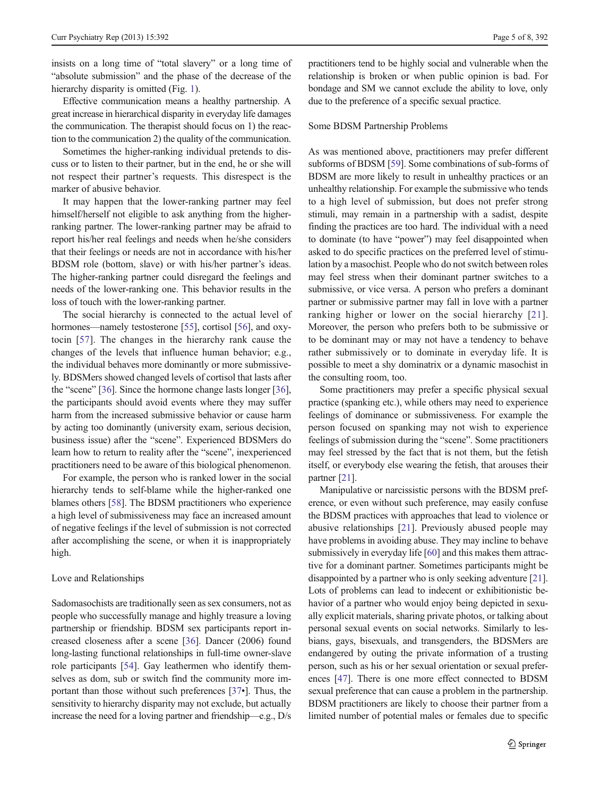insists on a long time of "total slavery" or a long time of "absolute submission" and the phase of the decrease of the hierarchy disparity is omitted (Fig. [1\)](#page-3-0).

Effective communication means a healthy partnership. A great increase in hierarchical disparity in everyday life damages the communication. The therapist should focus on 1) the reaction to the communication 2) the quality of the communication.

Sometimes the higher-ranking individual pretends to discuss or to listen to their partner, but in the end, he or she will not respect their partner's requests. This disrespect is the marker of abusive behavior.

It may happen that the lower-ranking partner may feel himself/herself not eligible to ask anything from the higherranking partner. The lower-ranking partner may be afraid to report his/her real feelings and needs when he/she considers that their feelings or needs are not in accordance with his/her BDSM role (bottom, slave) or with his/her partner's ideas. The higher-ranking partner could disregard the feelings and needs of the lower-ranking one. This behavior results in the loss of touch with the lower-ranking partner.

The social hierarchy is connected to the actual level of hormones—namely testosterone [[55\]](#page-7-0), cortisol [[56\]](#page-7-0), and oxytocin [[57](#page-7-0)]. The changes in the hierarchy rank cause the changes of the levels that influence human behavior; e.g., the individual behaves more dominantly or more submissively. BDSMers showed changed levels of cortisol that lasts after the "scene" [\[36\]](#page-6-0). Since the hormone change lasts longer [[36\]](#page-6-0), the participants should avoid events where they may suffer harm from the increased submissive behavior or cause harm by acting too dominantly (university exam, serious decision, business issue) after the "scene". Experienced BDSMers do learn how to return to reality after the "scene", inexperienced practitioners need to be aware of this biological phenomenon.

For example, the person who is ranked lower in the social hierarchy tends to self-blame while the higher-ranked one blames others [[58](#page-7-0)]. The BDSM practitioners who experience a high level of submissiveness may face an increased amount of negative feelings if the level of submission is not corrected after accomplishing the scene, or when it is inappropriately high.

### Love and Relationships

Sadomasochists are traditionally seen as sex consumers, not as people who successfully manage and highly treasure a loving partnership or friendship. BDSM sex participants report increased closeness after a scene [\[36](#page-6-0)]. Dancer (2006) found long-lasting functional relationships in full-time owner-slave role participants [\[54\]](#page-7-0). Gay leathermen who identify themselves as dom, sub or switch find the community more important than those without such preferences [\[37](#page-6-0)•]. Thus, the sensitivity to hierarchy disparity may not exclude, but actually increase the need for a loving partner and friendship—e.g., D/s practitioners tend to be highly social and vulnerable when the relationship is broken or when public opinion is bad. For bondage and SM we cannot exclude the ability to love, only due to the preference of a specific sexual practice.

#### Some BDSM Partnership Problems

As was mentioned above, practitioners may prefer different subforms of BDSM [\[59\]](#page-7-0). Some combinations of sub-forms of BDSM are more likely to result in unhealthy practices or an unhealthy relationship. For example the submissive who tends to a high level of submission, but does not prefer strong stimuli, may remain in a partnership with a sadist, despite finding the practices are too hard. The individual with a need to dominate (to have "power") may feel disappointed when asked to do specific practices on the preferred level of stimulation by a masochist. People who do not switch between roles may feel stress when their dominant partner switches to a submissive, or vice versa. A person who prefers a dominant partner or submissive partner may fall in love with a partner ranking higher or lower on the social hierarchy [[21](#page-6-0)]. Moreover, the person who prefers both to be submissive or to be dominant may or may not have a tendency to behave rather submissively or to dominate in everyday life. It is possible to meet a shy dominatrix or a dynamic masochist in the consulting room, too.

Some practitioners may prefer a specific physical sexual practice (spanking etc.), while others may need to experience feelings of dominance or submissiveness. For example the person focused on spanking may not wish to experience feelings of submission during the "scene". Some practitioners may feel stressed by the fact that is not them, but the fetish itself, or everybody else wearing the fetish, that arouses their partner [\[21\]](#page-6-0).

Manipulative or narcissistic persons with the BDSM preference, or even without such preference, may easily confuse the BDSM practices with approaches that lead to violence or abusive relationships [\[21](#page-6-0)]. Previously abused people may have problems in avoiding abuse. They may incline to behave submissively in everyday life [\[60\]](#page-7-0) and this makes them attractive for a dominant partner. Sometimes participants might be disappointed by a partner who is only seeking adventure [[21\]](#page-6-0). Lots of problems can lead to indecent or exhibitionistic behavior of a partner who would enjoy being depicted in sexually explicit materials, sharing private photos, or talking about personal sexual events on social networks. Similarly to lesbians, gays, bisexuals, and transgenders, the BDSMers are endangered by outing the private information of a trusting person, such as his or her sexual orientation or sexual preferences [\[47\]](#page-7-0). There is one more effect connected to BDSM sexual preference that can cause a problem in the partnership. BDSM practitioners are likely to choose their partner from a limited number of potential males or females due to specific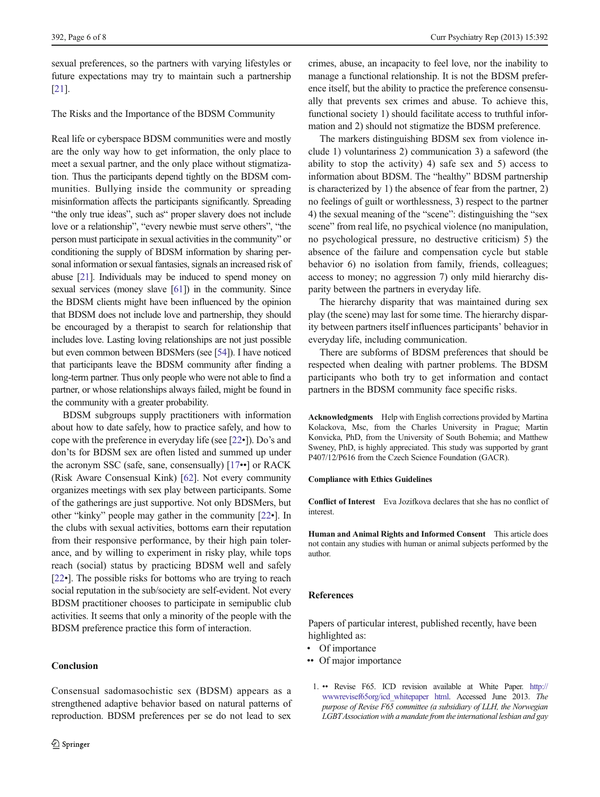<span id="page-5-0"></span>sexual preferences, so the partners with varying lifestyles or future expectations may try to maintain such a partnership [\[21\]](#page-6-0).

## The Risks and the Importance of the BDSM Community

Real life or cyberspace BDSM communities were and mostly are the only way how to get information, the only place to meet a sexual partner, and the only place without stigmatization. Thus the participants depend tightly on the BDSM communities. Bullying inside the community or spreading misinformation affects the participants significantly. Spreading "the only true ideas", such as" proper slavery does not include love or a relationship", "every newbie must serve others", "the person must participate in sexual activities in the community" or conditioning the supply of BDSM information by sharing personal information or sexual fantasies, signals an increased risk of abuse [[21](#page-6-0)]. Individuals may be induced to spend money on sexual services (money slave [[61](#page-7-0)]) in the community. Since the BDSM clients might have been influenced by the opinion that BDSM does not include love and partnership, they should be encouraged by a therapist to search for relationship that includes love. Lasting loving relationships are not just possible but even common between BDSMers (see [[54](#page-7-0)]). I have noticed that participants leave the BDSM community after finding a long-term partner. Thus only people who were not able to find a partner, or whose relationships always failed, might be found in the community with a greater probability.

BDSM subgroups supply practitioners with information about how to date safely, how to practice safely, and how to cope with the preference in everyday life (see [[22](#page-6-0)•]). Do's and don'ts for BDSM sex are often listed and summed up under the acronym SSC (safe, sane, consensually) [\[17](#page-6-0)••] or RACK (Risk Aware Consensual Kink) [\[62](#page-7-0)]. Not every community organizes meetings with sex play between participants. Some of the gatherings are just supportive. Not only BDSMers, but other "kinky" people may gather in the community [\[22](#page-6-0)•]. In the clubs with sexual activities, bottoms earn their reputation from their responsive performance, by their high pain tolerance, and by willing to experiment in risky play, while tops reach (social) status by practicing BDSM well and safely [\[22](#page-6-0)•]. The possible risks for bottoms who are trying to reach social reputation in the sub/society are self-evident. Not every BDSM practitioner chooses to participate in semipublic club activities. It seems that only a minority of the people with the BDSM preference practice this form of interaction.

## **Conclusion**

Consensual sadomasochistic sex (BDSM) appears as a strengthened adaptive behavior based on natural patterns of reproduction. BDSM preferences per se do not lead to sex

crimes, abuse, an incapacity to feel love, nor the inability to manage a functional relationship. It is not the BDSM preference itself, but the ability to practice the preference consensually that prevents sex crimes and abuse. To achieve this, functional society 1) should facilitate access to truthful information and 2) should not stigmatize the BDSM preference.

The markers distinguishing BDSM sex from violence include 1) voluntariness 2) communication 3) a safeword (the ability to stop the activity) 4) safe sex and 5) access to information about BDSM. The "healthy" BDSM partnership is characterized by 1) the absence of fear from the partner, 2) no feelings of guilt or worthlessness, 3) respect to the partner 4) the sexual meaning of the "scene": distinguishing the "sex scene" from real life, no psychical violence (no manipulation, no psychological pressure, no destructive criticism) 5) the absence of the failure and compensation cycle but stable behavior 6) no isolation from family, friends, colleagues; access to money; no aggression 7) only mild hierarchy disparity between the partners in everyday life.

The hierarchy disparity that was maintained during sex play (the scene) may last for some time. The hierarchy disparity between partners itself influences participants' behavior in everyday life, including communication.

There are subforms of BDSM preferences that should be respected when dealing with partner problems. The BDSM participants who both try to get information and contact partners in the BDSM community face specific risks.

Acknowledgments Help with English corrections provided by Martina Kolackova, Msc, from the Charles University in Prague; Martin Konvicka, PhD, from the University of South Bohemia; and Matthew Sweney, PhD, is highly appreciated. This study was supported by grant P407/12/P616 from the Czech Science Foundation (GACR).

#### Compliance with Ethics Guidelines

Conflict of Interest Eva Jozifkova declares that she has no conflict of interest.

Human and Animal Rights and Informed Consent This article does not contain any studies with human or animal subjects performed by the author.

## References

Papers of particular interest, published recently, have been highlighted as:

- Of importance
- •• Of major importance
	- 1. •• Revise F65. ICD revision available at White Paper. [http://](http://wwwrevisef65org/icd_whitepaper%20html) [wwwrevisef65org/icd\\_whitepaper html.](http://wwwrevisef65org/icd_whitepaper%20html) Accessed June 2013. The purpose of Revise F65 committee (a subsidiary of LLH, the Norwegian LGBTAssociation with a mandate from the international lesbian and gay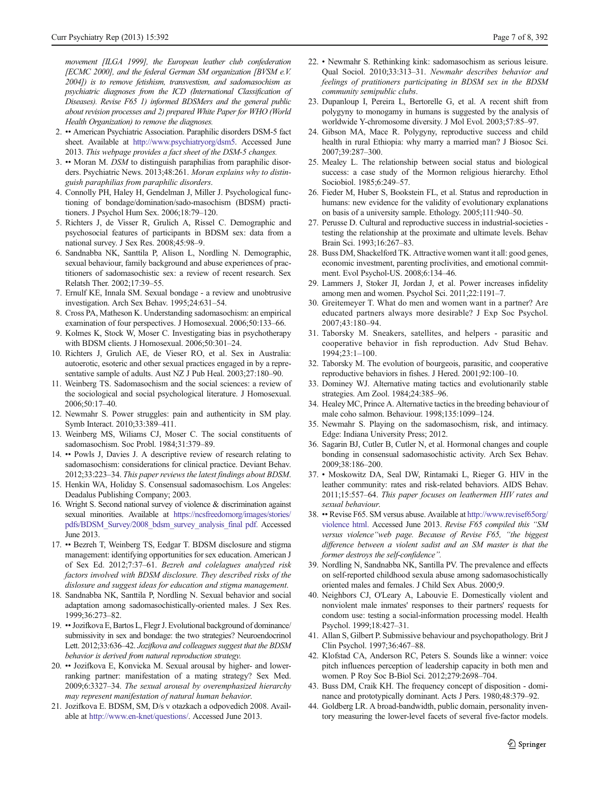<span id="page-6-0"></span>movement [ILGA 1999], the European leather club confederation [ECMC 2000], and the federal German SM organization [BVSM e.V.] 2004]) is to remove fetishism, transvestism, and sadomasochism as psychiatric diagnoses from the ICD (International Classification of Diseases). Revise F65 1) informed BDSMers and the general public about revision processes and 2) prepared White Paper for WHO (World Health Organization) to remove the diagnoses.

- 2. •• American Psychiatric Association. Paraphilic disorders DSM-5 fact sheet. Available at <http://www.psychiatryorg/dsm5>. Accessed June 2013. This webpage provides a fact sheet of the DSM-5 changes.
- 3. •• Moran M. DSM to distinguish paraphilias from paraphilic disorders. Psychiatric News. 2013;48:261. Moran explains why to distinguish paraphilias from paraphilic disorders.
- 4. Connolly PH, Haley H, Gendelman J, Miller J. Psychological functioning of bondage/domination/sado-masochism (BDSM) practitioners. J Psychol Hum Sex. 2006;18:79–120.
- 5. Richters J, de Visser R, Grulich A, Rissel C. Demographic and psychosocial features of participants in BDSM sex: data from a national survey. J Sex Res. 2008;45:98–9.
- 6. Sandnabba NK, Santtila P, Alison L, Nordling N. Demographic, sexual behaviour, family background and abuse experiences of practitioners of sadomasochistic sex: a review of recent research. Sex Relatsh Ther. 2002;17:39–55.
- 7. Ernulf KE, Innala SM. Sexual bondage a review and unobtrusive investigation. Arch Sex Behav. 1995;24:631–54.
- 8. Cross PA, Matheson K. Understanding sadomasochism: an empirical examination of four perspectives. J Homosexual. 2006;50:133–66.
- 9. Kolmes K, Stock W, Moser C. Investigating bias in psychotherapy with BDSM clients. J Homosexual. 2006;50:301–24.
- 10. Richters J, Grulich AE, de Vieser RO, et al. Sex in Australia: autoerotic, esoteric and other sexual practices engaged in by a representative sample of adults. Aust NZ J Pub Heal. 2003;27:180–90.
- 11. Weinberg TS. Sadomasochism and the social sciences: a review of the sociological and social psychological literature. J Homosexual. 2006;50:17–40.
- 12. Newmahr S. Power struggles: pain and authenticity in SM play. Symb Interact. 2010;33:389–411.
- 13. Weinberg MS, Wiliams CJ, Moser C. The social constituents of sadomasochism. Soc Probl. 1984;31:379–89.
- 14. •• Powls J, Davies J. A descriptive review of research relating to sadomasochism: considerations for clinical practice. Deviant Behav. 2012;33:223–34. This paper reviews the latest findings about BDSM.
- 15. Henkin WA, Holiday S. Consensual sadomasochism. Los Angeles: Deadalus Publishing Company; 2003.
- 16. Wright S. Second national survey of violence & discrimination against sexual minorities. Available at [https://ncsfreedomorg/images/stories/](https://ncsfreedomorg/images/stories/pdfs/BDSM_Survey/2008_bdsm_survey_analysis_final%20pdf) [pdfs/BDSM\\_Survey/2008\\_bdsm\\_survey\\_analysis\\_final pdf.](https://ncsfreedomorg/images/stories/pdfs/BDSM_Survey/2008_bdsm_survey_analysis_final%20pdf) Accessed June 2013.
- 17. •• Bezreh T, Weinberg TS, Eedgar T. BDSM disclosure and stigma management: identifying opportunities for sex education. American J of Sex Ed. 2012;7:37–61. Bezreh and colelagues analyzed risk factors involved with BDSM disclosure. They described risks of the dislosure and suggest ideas for education and stigma management.
- 18. Sandnabba NK, Santtila P, Nordling N. Sexual behavior and social adaptation among sadomasochistically-oriented males. J Sex Res. 1999;36:273–82.
- 19. ••Jozifkova E, Bartos L, Flegr J. Evolutional background of dominance/ submissivity in sex and bondage: the two strategies? Neuroendocrinol Lett. 2012;33:636–42. Jozifkova and colleagues suggest that the BDSM behavior is derived from natural reproduction strategy.
- 20. •• Jozifkova E, Konvicka M. Sexual arousal by higher- and lowerranking partner: manifestation of a mating strategy? Sex Med. 2009;6:3327–34. The sexual arousal by overemphasized hierarchy may represent manifestation of natural human behavior.
- 21. Jozifkova E. BDSM, SM, D/s v otazkach a odpovedich 2008. Available at [http://www.en-knet/questions/.](http://www.en-knet/questions/) Accessed June 2013.
- 22. Newmahr S. Rethinking kink: sadomasochism as serious leisure. Qual Sociol. 2010;33:313–31. Newmahr describes behavior and feelings of pratitioners participating in BDSM sex in the BDSM community semipublic clubs.
- 23. Dupanloup I, Pereira L, Bertorelle G, et al. A recent shift from polygyny to monogamy in humans is suggested by the analysis of worldwide Y-chromosome diversity. J Mol Evol. 2003;57:85–97.
- 24. Gibson MA, Mace R. Polygyny, reproductive success and child health in rural Ethiopia: why marry a married man? J Biosoc Sci. 2007;39:287–300.
- 25. Mealey L. The relationship between social status and biological success: a case study of the Mormon religious hierarchy. Ethol Sociobiol. 1985;6:249–57.
- 26. Fieder M, Huber S, Bookstein FL, et al. Status and reproduction in humans: new evidence for the validity of evolutionary explanations on basis of a university sample. Ethology. 2005;111:940–50.
- 27. Perusse D. Cultural and reproductive success in industrial-societies testing the relationship at the proximate and ultimate levels. Behav Brain Sci. 1993;16:267–83.
- 28. Buss DM, Shackelford TK. Attractive women want it all: good genes, economic investment, parenting proclivities, and emotional commitment. Evol Psychol-US. 2008;6:134–46.
- 29. Lammers J, Stoker JI, Jordan J, et al. Power increases infidelity among men and women. Psychol Sci. 2011;22:1191–7.
- 30. Greitemeyer T. What do men and women want in a partner? Are educated partners always more desirable? J Exp Soc Psychol. 2007;43:180–94.
- 31. Taborsky M. Sneakers, satellites, and helpers parasitic and cooperative behavior in fish reproduction. Adv Stud Behav. 1994;23:1–100.
- 32. Taborsky M. The evolution of bourgeois, parasitic, and cooperative reproductive behaviors in fishes. J Hered. 2001;92:100–10.
- 33. Dominey WJ. Alternative mating tactics and evolutionarily stable strategies. Am Zool. 1984;24:385–96.
- 34. Healey MC, Prince A. Alternative tactics in the breeding behaviour of male coho salmon. Behaviour. 1998;135:1099–124.
- 35. Newmahr S. Playing on the sadomasochism, risk, and intimacy. Edge: Indiana University Press; 2012.
- 36. Sagarin BJ, Cutler B, Cutler N, et al. Hormonal changes and couple bonding in consensual sadomasochistic activity. Arch Sex Behav. 2009;38:186–200.
- 37. Moskowitz DA, Seal DW, Rintamaki L, Rieger G. HIV in the leather community: rates and risk-related behaviors. AIDS Behav. 2011;15:557–64. This paper focuses on leathermen HIV rates and sexual behaviour.
- 38. •• Revise F65. SM versus abuse. Available at [http://www.revisef65org/](http://www.revisef65org/violence%20html) [violence html.](http://www.revisef65org/violence%20html) Accessed June 2013. Revise F65 compiled this "SM versus violence"web page. Because of Revise F65, "the biggest difference between a violent sadist and an SM master is that the former destroys the self-confidence".
- 39. Nordling N, Sandnabba NK, Santilla PV. The prevalence and effects on self-reported childhood sexula abuse among sadomasochistically oriented males and females. J Child Sex Abus. 2000;9.
- 40. Neighbors CJ, O'Leary A, Labouvie E. Domestically violent and nonviolent male inmates' responses to their partners' requests for condom use: testing a social-information processing model. Health Psychol. 1999;18:427–31.
- 41. Allan S, Gilbert P. Submissive behaviour and psychopathology. Brit J Clin Psychol. 1997;36:467–88.
- 42. Klofstad CA, Anderson RC, Peters S. Sounds like a winner: voice pitch influences perception of leadership capacity in both men and women. P Roy Soc B-Biol Sci. 2012;279:2698–704.
- 43. Buss DM, Craik KH. The frequency concept of disposition dominance and prototypically dominant. Acts J Pers. 1980;48:379–92.
- 44. Goldberg LR. A broad-bandwidth, public domain, personality inventory measuring the lower-level facets of several five-factor models.